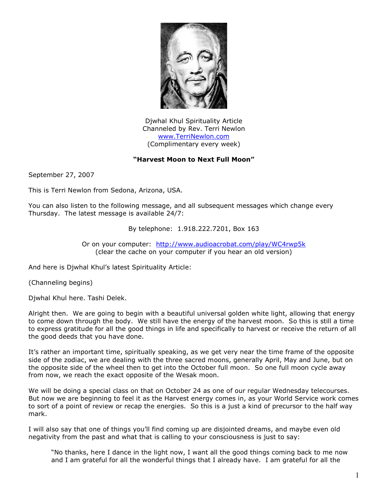

Djwhal Khul Spirituality Article Channeled by Rev. Terri Newlon [www.TerriNewlon.com](http://www.terrinewlon.com/) (Complimentary every week)

## **"Harvest Moon to Next Full Moon"**

September 27, 2007

This is Terri Newlon from Sedona, Arizona, USA.

You can also listen to the following message, and all subsequent messages which change every Thursday. The latest message is available 24/7:

## By telephone: 1.918.222.7201, Box 163

Or on your computer: <http://www.audioacrobat.com/play/WC4rwp5k> (clear the cache on your computer if you hear an old version)

And here is Djwhal Khul's latest Spirituality Article:

(Channeling begins)

Djwhal Khul here. Tashi Delek.

Alright then. We are going to begin with a beautiful universal golden white light, allowing that energy to come down through the body. We still have the energy of the harvest moon. So this is still a time to express gratitude for all the good things in life and specifically to harvest or receive the return of all the good deeds that you have done.

It's rather an important time, spiritually speaking, as we get very near the time frame of the opposite side of the zodiac, we are dealing with the three sacred moons, generally April, May and June, but on the opposite side of the wheel then to get into the October full moon. So one full moon cycle away from now, we reach the exact opposite of the Wesak moon.

We will be doing a special class on that on October 24 as one of our regular Wednesday telecourses. But now we are beginning to feel it as the Harvest energy comes in, as your World Service work comes to sort of a point of review or recap the energies. So this is a just a kind of precursor to the half way mark.

I will also say that one of things you'll find coming up are disjointed dreams, and maybe even old negativity from the past and what that is calling to your consciousness is just to say:

"No thanks, here I dance in the light now, I want all the good things coming back to me now and I am grateful for all the wonderful things that I already have. I am grateful for all the